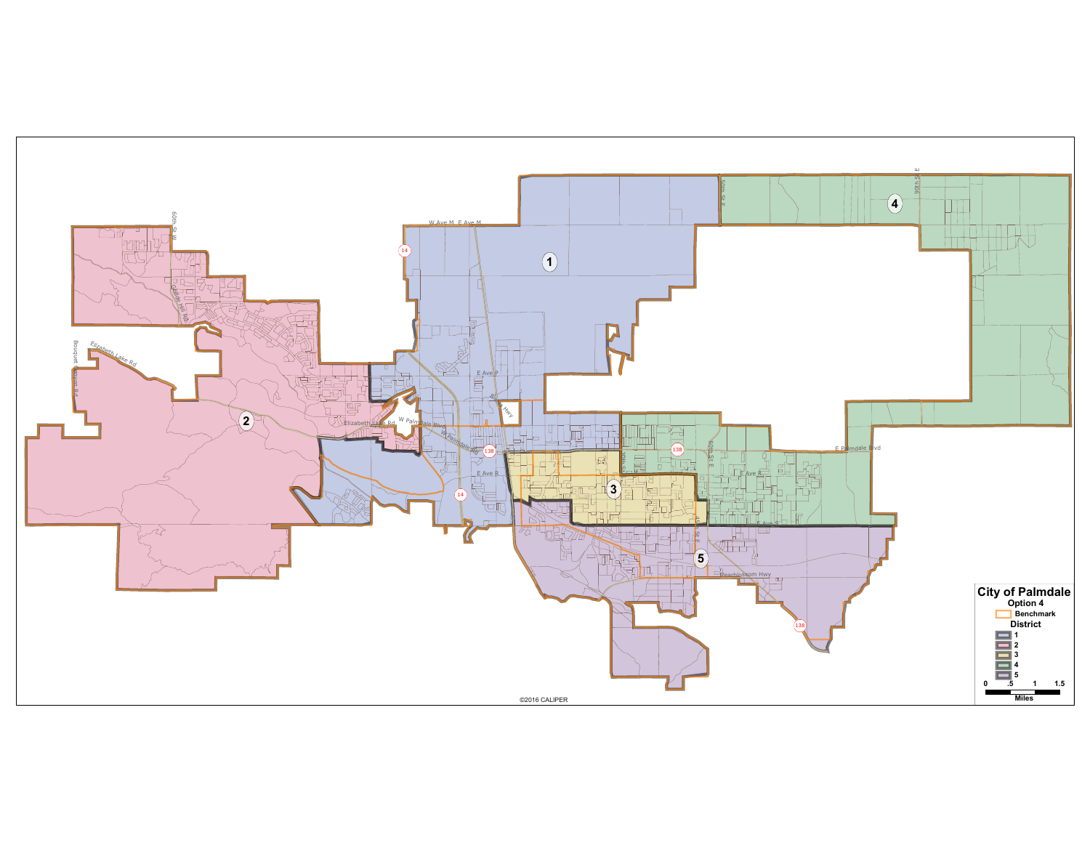